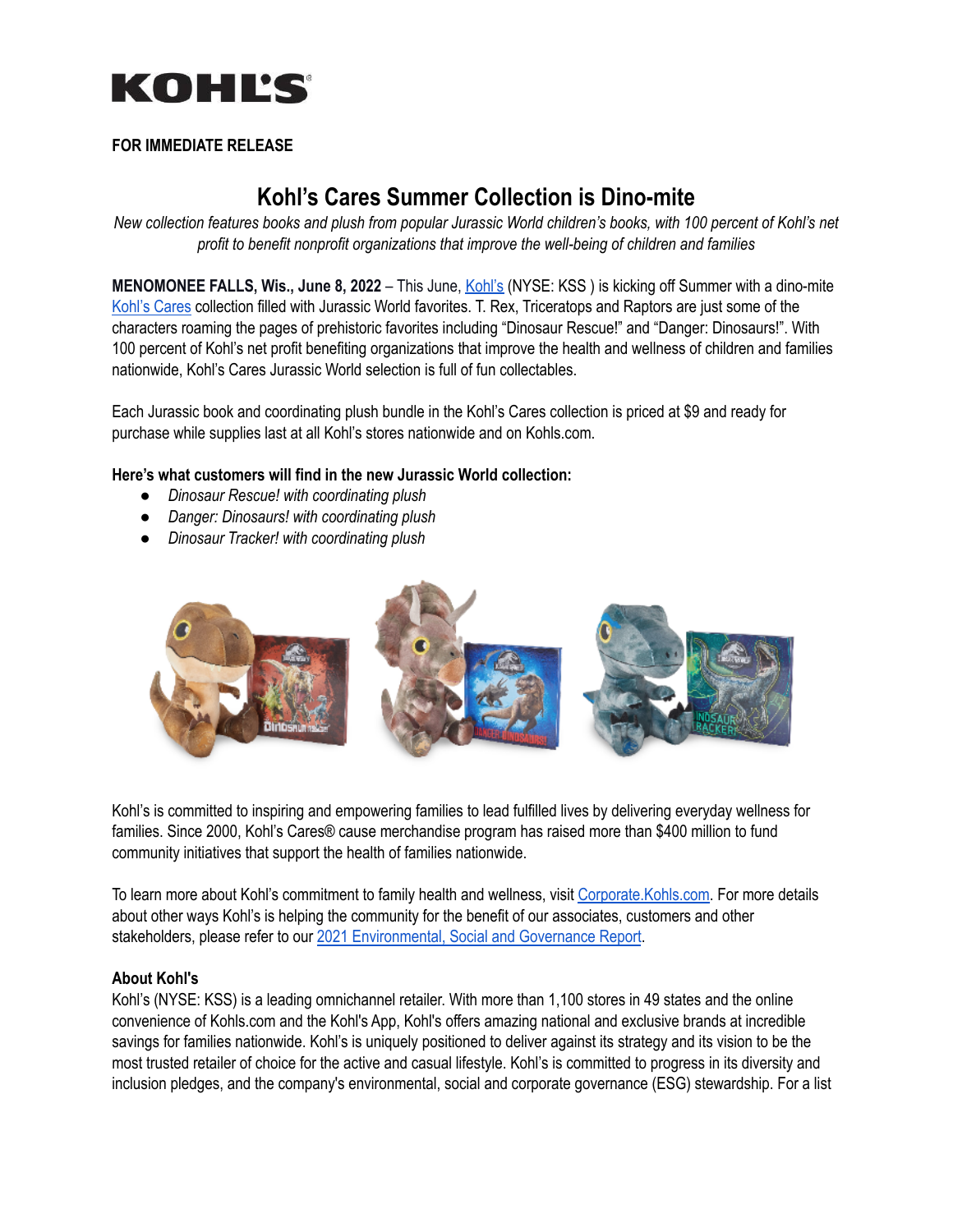

## **FOR IMMEDIATE RELEASE**

# **Kohl's Cares Summer Collection is Dino-mite**

New collection features books and plush from popular Jurassic World children's books, with 100 percent of Kohl's net *profit to benefit nonprofit organizations that improve the well-being of children and families*

**MENOMONEE FALLS, Wis., June 8, 2022** – This June, [Kohl's](https://www.kohls.com/) (NYSE: KSS ) is kicking off Summer with a dino-mite [Kohl's](https://www.kohls.com/sale-event/kohl-s-cares.jsp) Cares collection filled with Jurassic World favorites. T. Rex, Triceratops and Raptors are just some of the characters roaming the pages of prehistoric favorites including "Dinosaur Rescue!" and "Danger: Dinosaurs!". With 100 percent of Kohl's net profit benefiting organizations that improve the health and wellness of children and families nationwide, Kohl's Cares Jurassic World selection is full of fun collectables.

Each Jurassic book and coordinating plush bundle in the Kohl's Cares collection is priced at \$9 and ready for purchase while supplies last at all Kohl's stores nationwide and on Kohls.com.

#### **Here's what customers will find in the new Jurassic World collection:**

- *● Dinosaur Rescue! with coordinating plush*
- *● Danger: Dinosaurs! with coordinating plush*
- *● Dinosaur Tracker! with coordinating plush*



Kohl's is committed to inspiring and empowering families to lead fulfilled lives by delivering everyday wellness for families. Since 2000, Kohl's Cares® cause merchandise program has raised more than \$400 million to fund community initiatives that support the health of families nationwide.

To learn more about Kohl's commitment to family health and wellness, visit [Corporate.Kohls.com](https://corporate.kohls.com/corporate-responsibility/Kohls-Cares-Merchandise). For more details about other ways Kohl's is helping the community for the benefit of our associates, customers and other stakeholders, please refer to our 2021 [Environmental,](https://corporate.kohls.com/content/dam/kohlscorp/corporate-responsibility/landing-page/Kohls-ESG%20Report.pdf) Social and Governance Report.

#### **About Kohl's**

Kohl's (NYSE: KSS) is a leading omnichannel retailer. With more than 1,100 stores in 49 states and the online convenience of Kohls.com and the Kohl's App, Kohl's offers amazing national and exclusive brands at incredible savings for families nationwide. Kohl's is uniquely positioned to deliver against its strategy and its vision to be the most trusted retailer of choice for the active and casual lifestyle. Kohl's is committed to progress in its diversity and inclusion pledges, and the company's environmental, social and corporate governance (ESG) stewardship. For a list